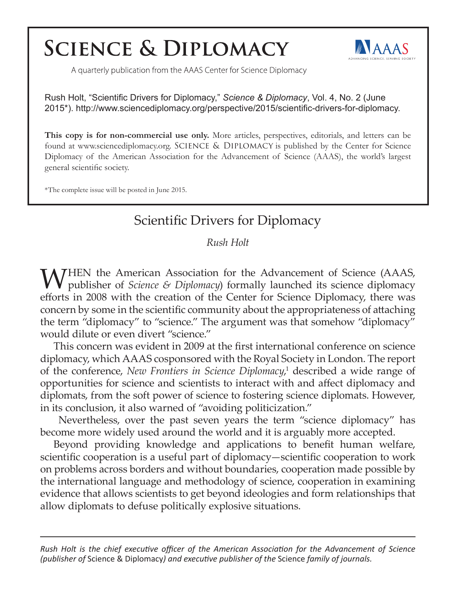# **SCIENCE & DIPLOMACY**



A quarterly publication from the AAAS Center for Science Diplomacy

Rush Holt, "Scientific Drivers for Diplomacy," *Science & Diplomacy*, Vol. 4, No. 2 (June 2015\*). http://www.sciencediplomacy.org/perspective/2015/scientific-drivers-for-diplomacy.

**This copy is for non-commercial use only.** More articles, perspectives, editorials, and letters can be found at www.sciencediplomacy.org. SCIENCE & DIPLOMACY is published by the Center for Science Diplomacy of the American Association for the Advancement of Science (AAAS), the world's largest general scientific society.

\*The complete issue will be posted in June 2015.

## Scientific Drivers for Diplomacy

*Rush Holt* 

WHEN the American Association for the Advancement of Science (AAAS, publisher of *Science & Diplomacy*) formally launched its science diplomacy efforts in 2008 with the creation of the Center for Science Diplomacy, there was concern by some in the scientific community about the appropriateness of attaching the term "diplomacy" to "science." The argument was that somehow "diplomacy" would dilute or even divert "science."

This concern was evident in 2009 at the first international conference on science diplomacy, which AAAS cosponsored with the Royal Society in London. The report of the conference, *New Frontiers in Science Diplomacy*,<sup>1</sup> described a wide range of opportunities for science and scientists to interact with and affect diplomacy and diplomats, from the soft power of science to fostering science diplomats. However, in its conclusion, it also warned of "avoiding politicization."

 Nevertheless, over the past seven years the term "science diplomacy" has become more widely used around the world and it is arguably more accepted.

Beyond providing knowledge and applications to benefit human welfare, scientific cooperation is a useful part of diplomacy—scientific cooperation to work on problems across borders and without boundaries, cooperation made possible by the international language and methodology of science, cooperation in examining evidence that allows scientists to get beyond ideologies and form relationships that allow diplomats to defuse politically explosive situations.

*Rush Holt is the chief executive officer of the American Association for the Advancement of Science (publisher of* Science & Diplomacy*) and executive publisher of the* Science *family of journals.*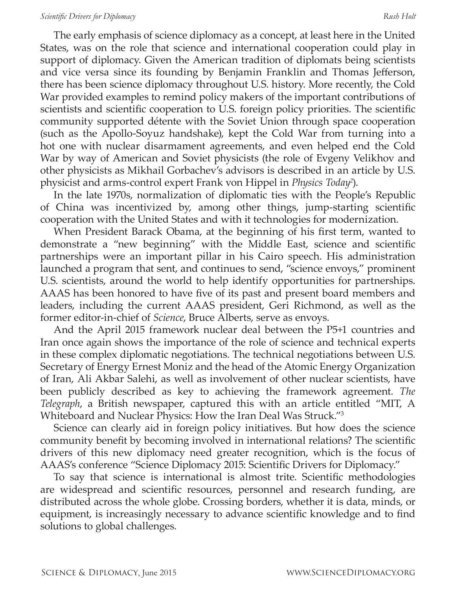### *Scientific Drivers for Diplomacy Rush Holt*

The early emphasis of science diplomacy as a concept, at least here in the United States, was on the role that science and international cooperation could play in support of diplomacy. Given the American tradition of diplomats being scientists and vice versa since its founding by Benjamin Franklin and Thomas Jefferson, there has been science diplomacy throughout U.S. history. More recently, the Cold War provided examples to remind policy makers of the important contributions of scientists and scientific cooperation to U.S. foreign policy priorities. The scientific community supported détente with the Soviet Union through space cooperation (such as the Apollo-Soyuz handshake), kept the Cold War from turning into a hot one with nuclear disarmament agreements, and even helped end the Cold War by way of American and Soviet physicists (the role of Evgeny Velikhov and other physicists as Mikhail Gorbachev's advisors is described in an article by U.S. physicist and arms-control expert Frank von Hippel in *Physics Today2* ).

In the late 1970s, normalization of diplomatic ties with the People's Republic of China was incentivized by, among other things, jump-starting scientific cooperation with the United States and with it technologies for modernization.

When President Barack Obama, at the beginning of his first term, wanted to demonstrate a "new beginning" with the Middle East, science and scientific partnerships were an important pillar in his Cairo speech. His administration launched a program that sent, and continues to send, "science envoys," prominent U.S. scientists, around the world to help identify opportunities for partnerships. AAAS has been honored to have five of its past and present board members and leaders, including the current AAAS president, Geri Richmond, as well as the former editor-in-chief of *Science*, Bruce Alberts, serve as envoys.

And the April 2015 framework nuclear deal between the P5+1 countries and Iran once again shows the importance of the role of science and technical experts in these complex diplomatic negotiations. The technical negotiations between U.S. Secretary of Energy Ernest Moniz and the head of the Atomic Energy Organization of Iran, Ali Akbar Salehi, as well as involvement of other nuclear scientists, have been publicly described as key to achieving the framework agreement. *The Telegraph*, a British newspaper, captured this with an article entitled "MIT, A Whiteboard and Nuclear Physics: How the Iran Deal Was Struck."<sup>3</sup>

Science can clearly aid in foreign policy initiatives. But how does the science community benefit by becoming involved in international relations? The scientific drivers of this new diplomacy need greater recognition, which is the focus of AAAS's conference "Science Diplomacy 2015: Scientific Drivers for Diplomacy."

To say that science is international is almost trite. Scientific methodologies are widespread and scientific resources, personnel and research funding, are distributed across the whole globe. Crossing borders, whether it is data, minds, or equipment, is increasingly necessary to advance scientific knowledge and to find solutions to global challenges.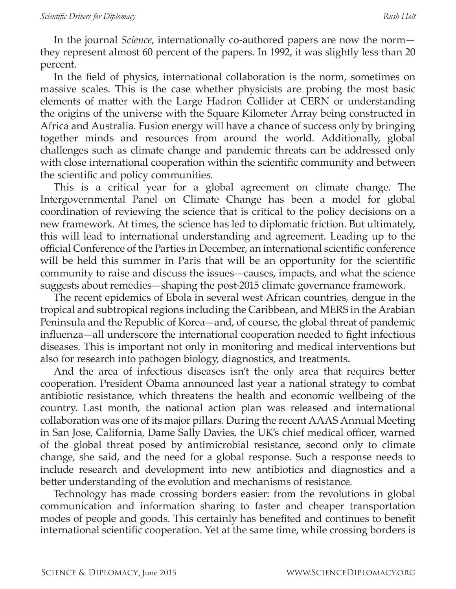In the journal *Science*, internationally co-authored papers are now the norm they represent almost 60 percent of the papers. In 1992, it was slightly less than 20 percent.

In the field of physics, international collaboration is the norm, sometimes on massive scales. This is the case whether physicists are probing the most basic elements of matter with the Large Hadron Collider at CERN or understanding the origins of the universe with the Square Kilometer Array being constructed in Africa and Australia. Fusion energy will have a chance of success only by bringing together minds and resources from around the world. Additionally, global challenges such as climate change and pandemic threats can be addressed only with close international cooperation within the scientific community and between the scientific and policy communities.

This is a critical year for a global agreement on climate change. The Intergovernmental Panel on Climate Change has been a model for global coordination of reviewing the science that is critical to the policy decisions on a new framework. At times, the science has led to diplomatic friction. But ultimately, this will lead to international understanding and agreement. Leading up to the official Conference of the Parties in December, an international scientific conference will be held this summer in Paris that will be an opportunity for the scientific community to raise and discuss the issues—causes, impacts, and what the science suggests about remedies—shaping the post-2015 climate governance framework.

The recent epidemics of Ebola in several west African countries, dengue in the tropical and subtropical regions including the Caribbean, and MERS in the Arabian Peninsula and the Republic of Korea—and, of course, the global threat of pandemic influenza—all underscore the international cooperation needed to fight infectious diseases. This is important not only in monitoring and medical interventions but also for research into pathogen biology, diagnostics, and treatments.

And the area of infectious diseases isn't the only area that requires better cooperation. President Obama announced last year a national strategy to combat antibiotic resistance, which threatens the health and economic wellbeing of the country. Last month, the national action plan was released and international collaboration was one of its major pillars. During the recent AAAS Annual Meeting in San Jose, California, Dame Sally Davies, the UK's chief medical officer, warned of the global threat posed by antimicrobial resistance, second only to climate change, she said, and the need for a global response. Such a response needs to include research and development into new antibiotics and diagnostics and a better understanding of the evolution and mechanisms of resistance.

Technology has made crossing borders easier: from the revolutions in global communication and information sharing to faster and cheaper transportation modes of people and goods. This certainly has benefited and continues to benefit international scientific cooperation. Yet at the same time, while crossing borders is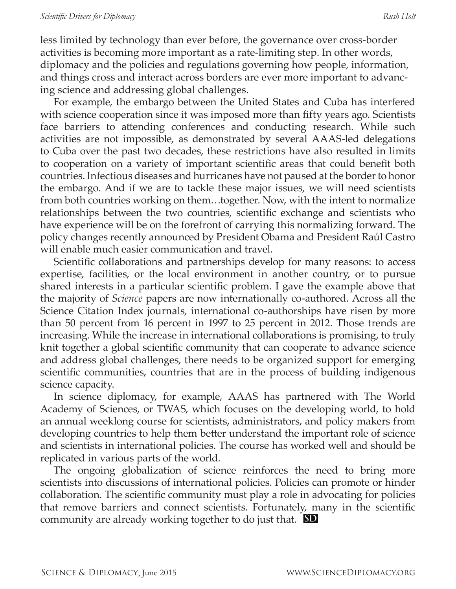less limited by technology than ever before, the governance over cross-border activities is becoming more important as a rate-limiting step. In other words, diplomacy and the policies and regulations governing how people, information, and things cross and interact across borders are ever more important to advancing science and addressing global challenges.

For example, the embargo between the United States and Cuba has interfered with science cooperation since it was imposed more than fifty years ago. Scientists face barriers to attending conferences and conducting research. While such activities are not impossible, as demonstrated by several AAAS-led delegations to Cuba over the past two decades, these restrictions have also resulted in limits to cooperation on a variety of important scientific areas that could benefit both countries. Infectious diseases and hurricanes have not paused at the border to honor the embargo. And if we are to tackle these major issues, we will need scientists from both countries working on them…together. Now, with the intent to normalize relationships between the two countries, scientific exchange and scientists who have experience will be on the forefront of carrying this normalizing forward. The policy changes recently announced by President Obama and President Raúl Castro will enable much easier communication and travel.

Scientific collaborations and partnerships develop for many reasons: to access expertise, facilities, or the local environment in another country, or to pursue shared interests in a particular scientific problem. I gave the example above that the majority of *Science* papers are now internationally co-authored. Across all the Science Citation Index journals, international co-authorships have risen by more than 50 percent from 16 percent in 1997 to 25 percent in 2012. Those trends are increasing. While the increase in international collaborations is promising, to truly knit together a global scientific community that can cooperate to advance science and address global challenges, there needs to be organized support for emerging scientific communities, countries that are in the process of building indigenous science capacity.

In science diplomacy, for example, AAAS has partnered with The World Academy of Sciences, or TWAS, which focuses on the developing world, to hold an annual weeklong course for scientists, administrators, and policy makers from developing countries to help them better understand the important role of science and scientists in international policies. The course has worked well and should be replicated in various parts of the world.

The ongoing globalization of science reinforces the need to bring more scientists into discussions of international policies. Policies can promote or hinder collaboration. The scientific community must play a role in advocating for policies that remove barriers and connect scientists. Fortunately, many in the scientific community are already working together to do just that. **SD**